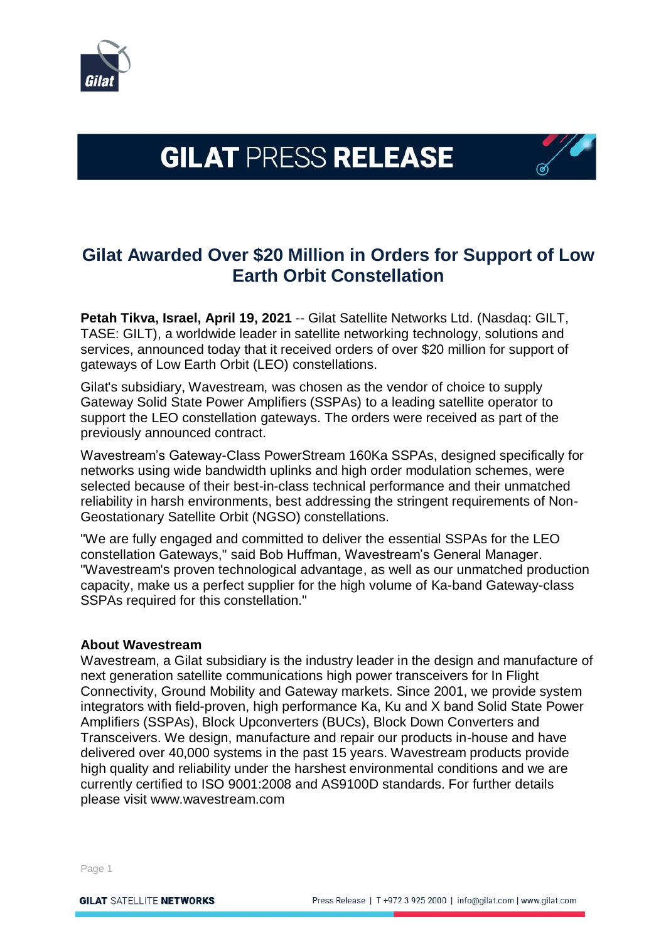

# **GILAT PRESS RELEASE**

## **Gilat Awarded Over \$20 Million in Orders for Support of Low Earth Orbit Constellation**

**Petah Tikva, Israel, April 19, 2021** -- Gilat Satellite Networks Ltd. (Nasdaq: GILT, TASE: GILT), a worldwide leader in satellite networking technology, solutions and services, announced today that it received orders of over \$20 million for support of gateways of Low Earth Orbit (LEO) constellations.

Gilat's subsidiary, Wavestream, was chosen as the vendor of choice to supply Gateway Solid State Power Amplifiers (SSPAs) to a leading satellite operator to support the LEO constellation gateways. The orders were received as part of the previously announced contract.

Wavestream's Gateway-Class PowerStream 160Ka SSPAs, designed specifically for networks using wide bandwidth uplinks and high order modulation schemes, were selected because of their best-in-class technical performance and their unmatched reliability in harsh environments, best addressing the stringent requirements of Non-Geostationary Satellite Orbit (NGSO) constellations.

"We are fully engaged and committed to deliver the essential SSPAs for the LEO constellation Gateways," said Bob Huffman, Wavestream's General Manager. "Wavestream's proven technological advantage, as well as our unmatched production capacity, make us a perfect supplier for the high volume of Ka-band Gateway-class SSPAs required for this constellation."

### **About Wavestream**

Wavestream, a Gilat subsidiary is the industry leader in the design and manufacture of next generation satellite communications high power transceivers for In Flight Connectivity, Ground Mobility and Gateway markets. Since 2001, we provide system integrators with field-proven, high performance Ka, Ku and X band Solid State Power Amplifiers (SSPAs), Block Upconverters (BUCs), Block Down Converters and Transceivers. We design, manufacture and repair our products in-house and have delivered over 40,000 systems in the past 15 years. Wavestream products provide high quality and reliability under the harshest environmental conditions and we are currently certified to ISO 9001:2008 and AS9100D standards. For further details please visit www.wavestream.com

Page 1